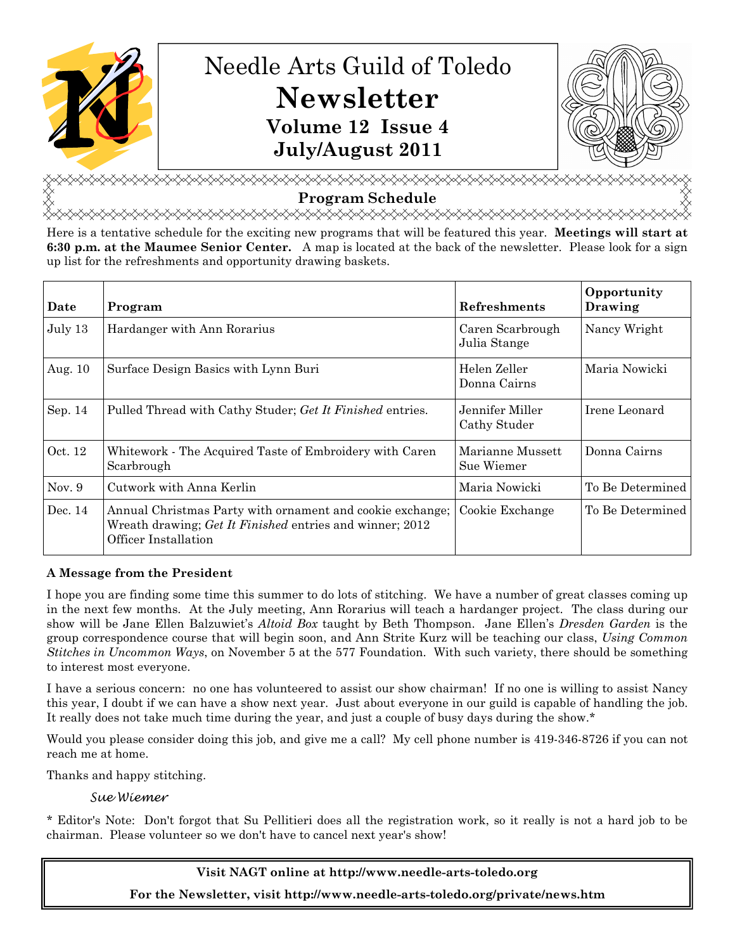

# Needle Arts Guild of Toledo Newsletter Volume 12 Issue 4 July/August 2011



**⋌⋌⋌⋌⋌⋌⋌⋌⋌⋌⋌⋌⋌⋌⋌⋌⋌⋋⋌⋋**⋌⋌⋌⋌⋌⋌⋌⋌⋌⋌⋌⋌⋌ Program Schedule

<del></del>

Here is a tentative schedule for the exciting new programs that will be featured this year. Meetings will start at 6:30 p.m. at the Maumee Senior Center. A map is located at the back of the newsletter. Please look for a sign up list for the refreshments and opportunity drawing baskets.

| Date     | Program                                                                                                                                       | <b>Refreshments</b>              | Opportunity<br>Drawing |
|----------|-----------------------------------------------------------------------------------------------------------------------------------------------|----------------------------------|------------------------|
| July 13  | Hardanger with Ann Rorarius                                                                                                                   | Caren Scarbrough<br>Julia Stange | Nancy Wright           |
| Aug. 10  | Surface Design Basics with Lynn Buri                                                                                                          | Helen Zeller<br>Donna Cairns     | Maria Nowicki          |
| Sep. 14  | Pulled Thread with Cathy Studer; Get It Finished entries.                                                                                     | Jennifer Miller<br>Cathy Studer  | Irene Leonard          |
| Oct. 12  | Whitework - The Acquired Taste of Embroidery with Caren<br>Scarbrough                                                                         | Marianne Mussett<br>Sue Wiemer   | Donna Cairns           |
| Nov. $9$ | Cutwork with Anna Kerlin                                                                                                                      | Maria Nowicki                    | To Be Determined       |
| Dec. 14  | Annual Christmas Party with ornament and cookie exchange;<br>Wreath drawing; Get It Finished entries and winner; 2012<br>Officer Installation | Cookie Exchange                  | To Be Determined       |

# A Message from the President

I hope you are finding some time this summer to do lots of stitching. We have a number of great classes coming up in the next few months. At the July meeting, Ann Rorarius will teach a hardanger project. The class during our show will be Jane Ellen Balzuwiet's *Altoid Box* taught by Beth Thompson. Jane Ellen's *Dresden Garden* is the group correspondence course that will begin soon, and Ann Strite Kurz will be teaching our class, Using Common Stitches in Uncommon Ways, on November 5 at the 577 Foundation. With such variety, there should be something to interest most everyone.

I have a serious concern: no one has volunteered to assist our show chairman! If no one is willing to assist Nancy this year, I doubt if we can have a show next year. Just about everyone in our guild is capable of handling the job. It really does not take much time during the year, and just a couple of busy days during the show.\*

Would you please consider doing this job, and give me a call? My cell phone number is 419-346-8726 if you can not reach me at home.

Thanks and happy stitching.

# Sue Wiemer

\* Editor's Note: Don't forgot that Su Pellitieri does all the registration work, so it really is not a hard job to be chairman. Please volunteer so we don't have to cancel next year's show!

> Visit NAGT online at http://www.needle-arts-toledo.org For the Newsletter, visit http://www.needle-arts-toledo.org/private/news.htm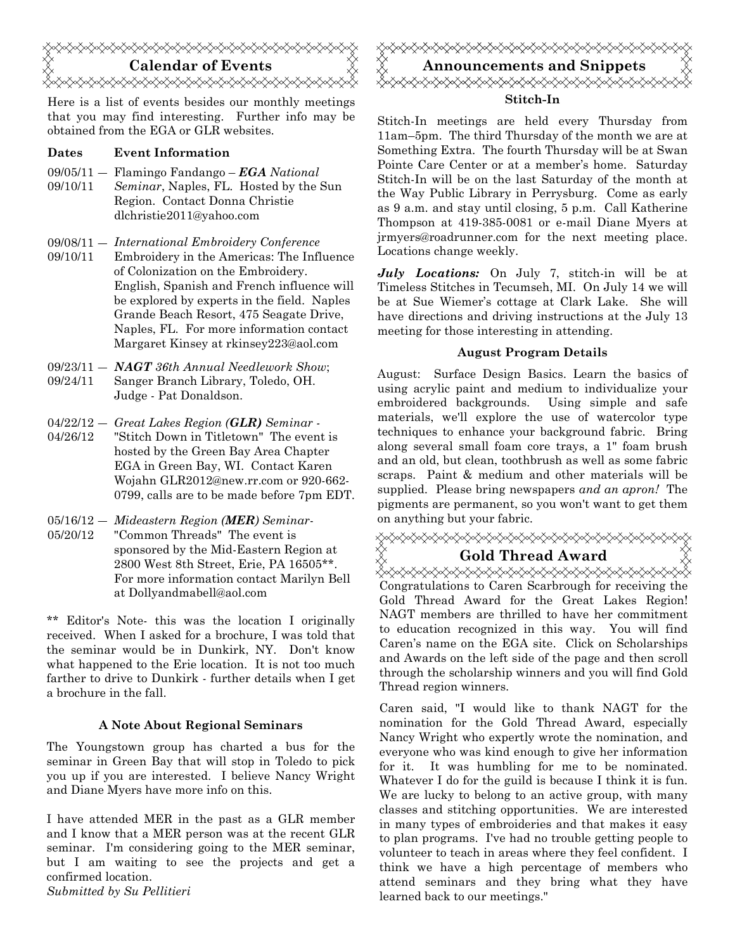# Calendar of Events <del></del>

Here is a list of events besides our monthly meetings that you may find interesting. Further info may be obtained from the EGA or GLR websites.

### Dates Event Information

- 09/05/11 Flamingo Fandango  $EGA$  National
- 09/10/11 Seminar, Naples, FL. Hosted by the Sun Region. Contact Donna Christie dlchristie2011@yahoo.com
- 09/08/11 ― International Embroidery Conference
- 09/10/11 Embroidery in the Americas: The Influence of Colonization on the Embroidery. English, Spanish and French influence will be explored by experts in the field. Naples Grande Beach Resort, 475 Seagate Drive, Naples, FL. For more information contact Margaret Kinsey at rkinsey223@aol.com
- $09/23/11 NAGT 36th Annual Needlework Show;$ 09/24/11 Sanger Branch Library, Toledo, OH. Judge - Pat Donaldson.
- $04/22/12 -$ Great Lakes Region (GLR) Seminar -
- 04/26/12 "Stitch Down in Titletown" The event is hosted by the Green Bay Area Chapter EGA in Green Bay, WI. Contact Karen Wojahn GLR2012@new.rr.com or 920-662- 0799, calls are to be made before 7pm EDT.
- $05/16/12$  Mideastern Region (MER) Seminar-
- 05/20/12 "Common Threads" The event is sponsored by the Mid-Eastern Region at 2800 West 8th Street, Erie, PA 16505\*\*. For more information contact Marilyn Bell at Dollyandmabell@aol.com

\*\* Editor's Note- this was the location I originally received. When I asked for a brochure, I was told that the seminar would be in Dunkirk, NY. Don't know what happened to the Erie location. It is not too much farther to drive to Dunkirk - further details when I get a brochure in the fall.

#### A Note About Regional Seminars

The Youngstown group has charted a bus for the seminar in Green Bay that will stop in Toledo to pick you up if you are interested. I believe Nancy Wright and Diane Myers have more info on this.

I have attended MER in the past as a GLR member and I know that a MER person was at the recent GLR seminar. I'm considering going to the MER seminar, but I am waiting to see the projects and get a confirmed location.

Submitted by Su Pellitieri



Stitch-In meetings are held every Thursday from 11am–5pm. The third Thursday of the month we are at Something Extra. The fourth Thursday will be at Swan Pointe Care Center or at a member's home. Saturday Stitch-In will be on the last Saturday of the month at the Way Public Library in Perrysburg. Come as early as 9 a.m. and stay until closing, 5 p.m. Call Katherine Thompson at 419-385-0081 or e-mail Diane Myers at jrmyers@roadrunner.com for the next meeting place. Locations change weekly.

July Locations: On July 7, stitch-in will be at Timeless Stitches in Tecumseh, MI. On July 14 we will be at Sue Wiemer's cottage at Clark Lake. She will have directions and driving instructions at the July 13 meeting for those interesting in attending.

### August Program Details

August: Surface Design Basics. Learn the basics of using acrylic paint and medium to individualize your embroidered backgrounds. Using simple and safe materials, we'll explore the use of watercolor type techniques to enhance your background fabric. Bring along several small foam core trays, a 1" foam brush and an old, but clean, toothbrush as well as some fabric scraps. Paint & medium and other materials will be supplied. Please bring newspapers and an apron! The pigments are permanent, so you won't want to get them on anything but your fabric.

<del></del> Gold Thread Award Congratulations to Caren Scarbrough for receiving the Gold Thread Award for the Great Lakes Region! NAGT members are thrilled to have her commitment to education recognized in this way. You will find Caren's name on the EGA site. Click on Scholarships and Awards on the left side of the page and then scroll through the scholarship winners and you will find Gold

Thread region winners.

Caren said, "I would like to thank NAGT for the nomination for the Gold Thread Award, especially Nancy Wright who expertly wrote the nomination, and everyone who was kind enough to give her information for it. It was humbling for me to be nominated. Whatever I do for the guild is because I think it is fun. We are lucky to belong to an active group, with many classes and stitching opportunities. We are interested in many types of embroideries and that makes it easy to plan programs. I've had no trouble getting people to volunteer to teach in areas where they feel confident. I think we have a high percentage of members who attend seminars and they bring what they have learned back to our meetings."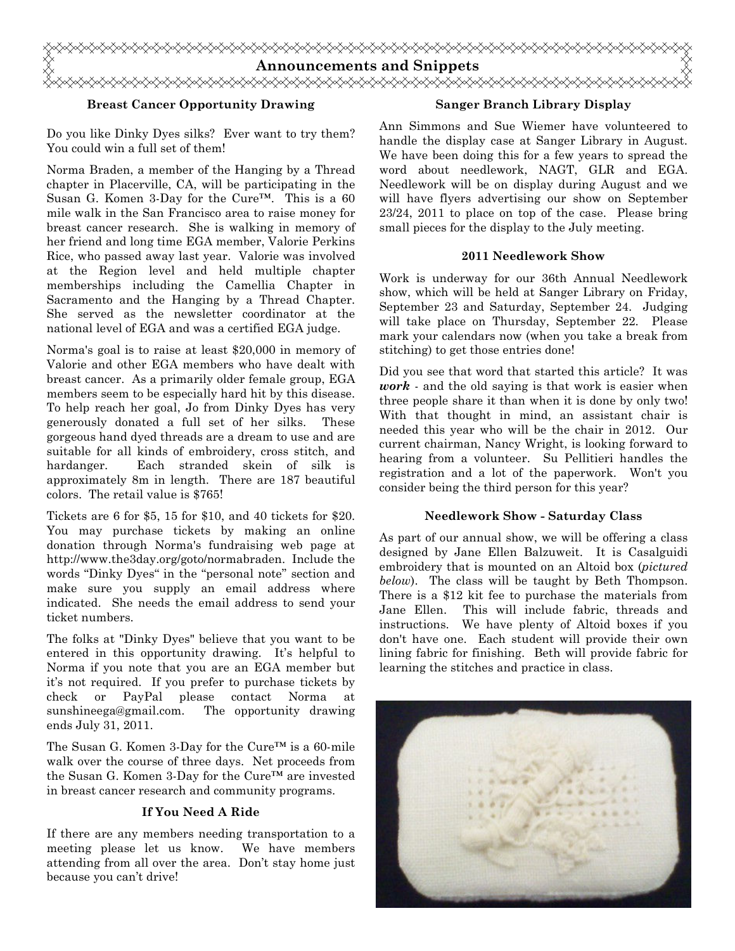

### Breast Cancer Opportunity Drawing

#### Sanger Branch Library Display

Do you like Dinky Dyes silks? Ever want to try them? You could win a full set of them!

Norma Braden, a member of the Hanging by a Thread chapter in Placerville, CA, will be participating in the Susan G. Komen 3-Day for the Cure™. This is a 60 mile walk in the San Francisco area to raise money for breast cancer research. She is walking in memory of her friend and long time EGA member, Valorie Perkins Rice, who passed away last year. Valorie was involved at the Region level and held multiple chapter memberships including the Camellia Chapter in Sacramento and the Hanging by a Thread Chapter. She served as the newsletter coordinator at the national level of EGA and was a certified EGA judge.

Norma's goal is to raise at least \$20,000 in memory of Valorie and other EGA members who have dealt with breast cancer. As a primarily older female group, EGA members seem to be especially hard hit by this disease. To help reach her goal, Jo from Dinky Dyes has very generously donated a full set of her silks. These gorgeous hand dyed threads are a dream to use and are suitable for all kinds of embroidery, cross stitch, and hardanger. Each stranded skein of silk is approximately 8m in length. There are 187 beautiful colors. The retail value is \$765!

Tickets are 6 for \$5, 15 for \$10, and 40 tickets for \$20. You may purchase tickets by making an online donation through Norma's fundraising web page at http://www.the3day.org/goto/normabraden. Include the words "Dinky Dyes" in the "personal note" section and make sure you supply an email address where indicated. She needs the email address to send your ticket numbers.

The folks at "Dinky Dyes" believe that you want to be entered in this opportunity drawing. It's helpful to Norma if you note that you are an EGA member but it's not required. If you prefer to purchase tickets by check or PayPal please contact Norma at sunshineega@gmail.com. The opportunity drawing ends July 31, 2011.

The Susan G. Komen 3-Day for the Cure™ is a 60-mile walk over the course of three days. Net proceeds from the Susan G. Komen 3-Day for the Cure™ are invested in breast cancer research and community programs.

#### If You Need A Ride

If there are any members needing transportation to a meeting please let us know. We have members attending from all over the area. Don't stay home just because you can't drive!

Ann Simmons and Sue Wiemer have volunteered to handle the display case at Sanger Library in August. We have been doing this for a few years to spread the word about needlework, NAGT, GLR and EGA. Needlework will be on display during August and we will have flyers advertising our show on September 23/24, 2011 to place on top of the case. Please bring small pieces for the display to the July meeting.

#### 2011 Needlework Show

Work is underway for our 36th Annual Needlework show, which will be held at Sanger Library on Friday, September 23 and Saturday, September 24. Judging will take place on Thursday, September 22. Please mark your calendars now (when you take a break from stitching) to get those entries done!

Did you see that word that started this article? It was *work*  $\cdot$  and the old saying is that work is easier when three people share it than when it is done by only two! With that thought in mind, an assistant chair is needed this year who will be the chair in 2012. Our current chairman, Nancy Wright, is looking forward to hearing from a volunteer. Su Pellitieri handles the registration and a lot of the paperwork. Won't you consider being the third person for this year?

#### Needlework Show - Saturday Class

As part of our annual show, we will be offering a class designed by Jane Ellen Balzuweit. It is Casalguidi embroidery that is mounted on an Altoid box (pictured below). The class will be taught by Beth Thompson. There is a \$12 kit fee to purchase the materials from Jane Ellen. This will include fabric, threads and instructions. We have plenty of Altoid boxes if you don't have one. Each student will provide their own lining fabric for finishing. Beth will provide fabric for learning the stitches and practice in class.

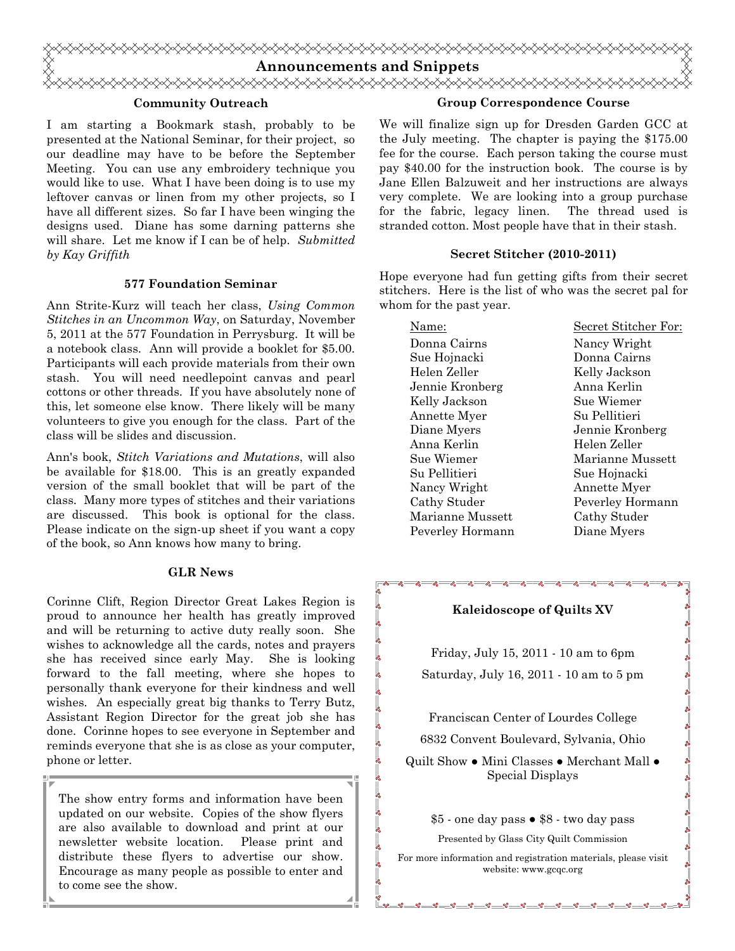

 $\overline{\phantom{0}}$ 

#### Community Outreach

I am starting a Bookmark stash, probably to be presented at the National Seminar, for their project, so our deadline may have to be before the September Meeting. You can use any embroidery technique you would like to use. What I have been doing is to use my leftover canvas or linen from my other projects, so I have all different sizes. So far I have been winging the designs used. Diane has some darning patterns she will share. Let me know if I can be of help. Submitted by Kay Griffith

#### 577 Foundation Seminar

Ann Strite-Kurz will teach her class, Using Common Stitches in an Uncommon Way, on Saturday, November 5, 2011 at the 577 Foundation in Perrysburg. It will be a notebook class. Ann will provide a booklet for \$5.00. Participants will each provide materials from their own stash. You will need needlepoint canvas and pearl cottons or other threads. If you have absolutely none of this, let someone else know. There likely will be many volunteers to give you enough for the class. Part of the class will be slides and discussion.

Ann's book, Stitch Variations and Mutations, will also be available for \$18.00. This is an greatly expanded version of the small booklet that will be part of the class. Many more types of stitches and their variations are discussed. This book is optional for the class. Please indicate on the sign-up sheet if you want a copy of the book, so Ann knows how many to bring.

#### GLR News

Corinne Clift, Region Director Great Lakes Region is proud to announce her health has greatly improved and will be returning to active duty really soon. She wishes to acknowledge all the cards, notes and prayers she has received since early May. She is looking forward to the fall meeting, where she hopes to personally thank everyone for their kindness and well wishes. An especially great big thanks to Terry Butz, Assistant Region Director for the great job she has done. Corinne hopes to see everyone in September and reminds everyone that she is as close as your computer, phone or letter.

The show entry forms and information have been updated on our website. Copies of the show flyers are also available to download and print at our newsletter website location. Please print and distribute these flyers to advertise our show. Encourage as many people as possible to enter and to come see the show.

#### Group Correspondence Course

We will finalize sign up for Dresden Garden GCC at the July meeting. The chapter is paying the \$175.00 fee for the course. Each person taking the course must pay \$40.00 for the instruction book. The course is by Jane Ellen Balzuweit and her instructions are always very complete. We are looking into a group purchase for the fabric, legacy linen. The thread used is stranded cotton. Most people have that in their stash.

#### Secret Stitcher (2010-2011)

Hope everyone had fun getting gifts from their secret stitchers. Here is the list of who was the secret pal for whom for the past year.

| Name:            | Secret Stitcher For: |
|------------------|----------------------|
| Donna Cairns     | Nancy Wright         |
| Sue Hojnacki     | Donna Cairns         |
| Helen Zeller     | Kelly Jackson        |
| Jennie Kronberg  | Anna Kerlin          |
| Kelly Jackson    | Sue Wiemer           |
| Annette Myer     | Su Pellitieri        |
| Diane Myers      | Jennie Kronberg      |
| Anna Kerlin      | Helen Zeller         |
| Sue Wiemer       | Marianne Mussett     |
| Su Pellitieri    | Sue Hojnacki         |
| Nancy Wright     | Annette Myer         |
| Cathy Studer     | Peverley Hormann     |
| Marianne Mussett | Cathy Studer         |
| Peverley Hormann | Diane Myers          |

#### Kaleidoscope of Quilts XV

Friday, July 15, 2011 - 10 am to 6pm Saturday, July 16, 2011 - 10 am to 5 pm

Franciscan Center of Lourdes College

6832 Convent Boulevard, Sylvania, Ohio

Quilt Show ● Mini Classes ● Merchant Mall ● Special Displays

\$5 - one day pass ● \$8 - two day pass Presented by Glass City Quilt Commission

For more information and registration materials, please visit website: www.gcqc.org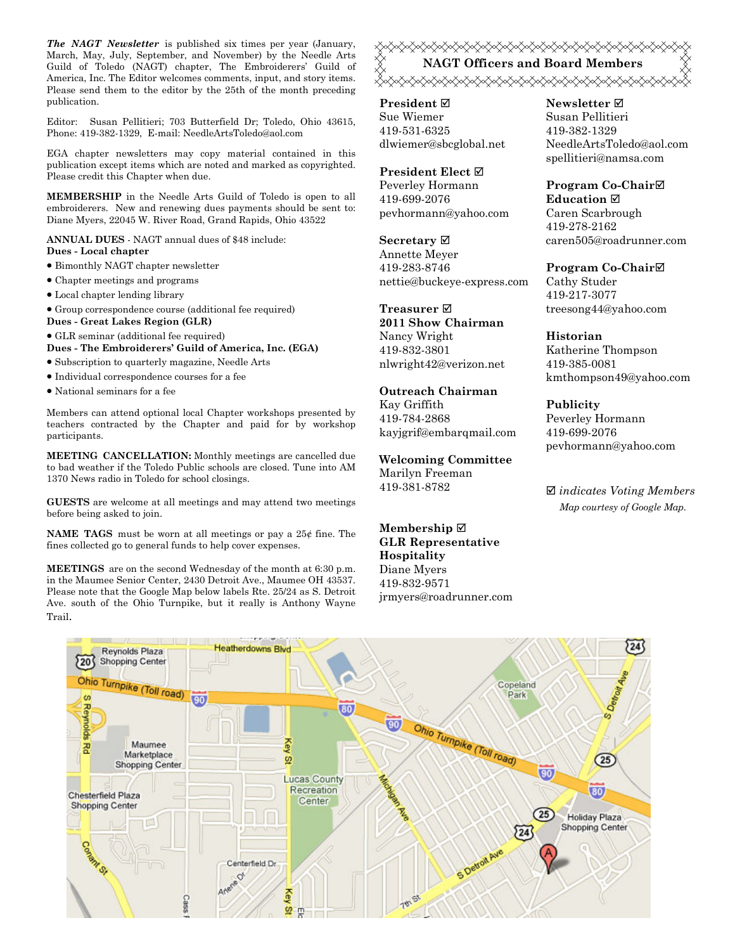The NAGT Newsletter is published six times per year (January, March, May, July, September, and November) by the Needle Arts Guild of Toledo (NAGT) chapter, The Embroiderers' Guild of America, Inc. The Editor welcomes comments, input, and story items. Please send them to the editor by the 25th of the month preceding publication.

Editor: Susan Pellitieri; 703 Butterfield Dr; Toledo, Ohio 43615, Phone: 419-382-1329, E-mail: NeedleArtsToledo@aol.com

EGA chapter newsletters may copy material contained in this publication except items which are noted and marked as copyrighted. Please credit this Chapter when due.

MEMBERSHIP in the Needle Arts Guild of Toledo is open to all embroiderers. New and renewing dues payments should be sent to: Diane Myers, 22045 W. River Road, Grand Rapids, Ohio 43522

ANNUAL DUES - NAGT annual dues of \$48 include:

- Dues Local chapter
- Bimonthly NAGT chapter newsletter
- Chapter meetings and programs
- Local chapter lending library
- Group correspondence course (additional fee required)
- Dues Great Lakes Region (GLR)

• GLR seminar (additional fee required)

Dues - The Embroiderers' Guild of America, Inc. (EGA)

- Subscription to quarterly magazine, Needle Arts
- Individual correspondence courses for a fee
- National seminars for a fee

Members can attend optional local Chapter workshops presented by teachers contracted by the Chapter and paid for by workshop participants.

MEETING CANCELLATION: Monthly meetings are cancelled due to bad weather if the Toledo Public schools are closed. Tune into AM 1370 News radio in Toledo for school closings.

GUESTS are welcome at all meetings and may attend two meetings before being asked to join.

NAME TAGS must be worn at all meetings or pay a 25¢ fine. The fines collected go to general funds to help cover expenses.

MEETINGS are on the second Wednesday of the month at 6:30 p.m. in the Maumee Senior Center, 2430 Detroit Ave., Maumee OH 43537. Please note that the Google Map below labels Rte. 25/24 as S. Detroit Ave. south of the Ohio Turnpike, but it really is Anthony Wayne Trail.

<del></del> NAGT Officers and Board Members <sub></sub><sub></sub>

President **Ø** Sue Wiemer 419-531-6325 dlwiemer@sbcglobal.net

President Elect Peverley Hormann 419-699-2076 pevhormann@yahoo.com

Secretary ⊠ Annette Meyer 419-283-8746 nettie@buckeye-express.com

Treasurer **⊠** 2011 Show Chairman Nancy Wright 419-832-3801 nlwright42@verizon.net

#### Outreach Chairman

Kay Griffith 419-784-2868 kayjgrif@embarqmail.com

Welcoming Committee Marilyn Freeman 419-381-8782

Membership ⊠ GLR Representative Hospitality Diane Myers 419-832-9571 jrmyers@roadrunner.com Newsletter **Ø** Susan Pellitieri 419-382-1329 NeedleArtsToledo@aol.com spellitieri@namsa.com

Program Co-Chair Education ⊠ Caren Scarbrough 419-278-2162 caren505@roadrunner.com

Program Co-Chair Cathy Studer 419-217-3077 treesong44@yahoo.com

Historian Katherine Thompson 419-385-0081 kmthompson49@yahoo.com

Publicity Peverley Hormann 419-699-2076 pevhormann@yahoo.com

 $\boxtimes$  indicates Voting Members Map courtesy of Google Map.